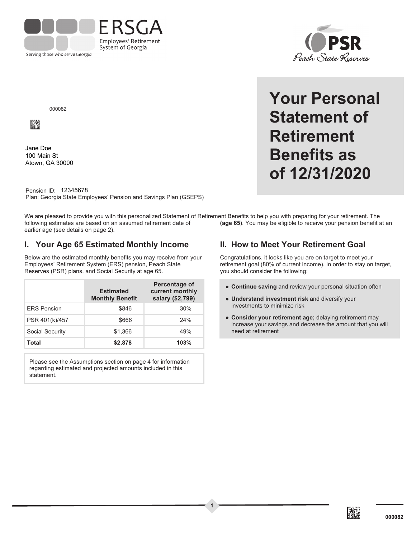

Peach State Reserves

**Your Personal** 

**Statement of** 

**Retirement** 

**Benefits as** 

of 12/31/2020

000082



Jane Doe 100 Main St Atown, GA 30000

Pension ID: 12345678 Plan: Georgia State Employees' Pension and Savings Plan (GSEPS)

We are pleased to provide you with this personalized Statement of Retirement Benefits to help you with preparing for your retirement. The following estimates are based on an assumed retirement date of (age 65). You may be eligible to receive your pension benefit at an earlier age (see details on page 2).

 $\mathbf 1$ 

#### I. Your Age 65 Estimated Monthly Income

Below are the estimated monthly benefits you may receive from your Employees' Retirement System (ERS) pension, Peach State Reserves (PSR) plans, and Social Security at age 65.

|                        | <b>Estimated</b><br><b>Monthly Benefit</b> | Percentage of<br>current monthly<br>salary (\$2,799) |
|------------------------|--------------------------------------------|------------------------------------------------------|
| <b>ERS Pension</b>     | \$846                                      | 30%                                                  |
| PSR 401(k)/457         | \$666                                      | 24%                                                  |
| <b>Social Security</b> | \$1,366                                    | 49%                                                  |
| Total                  | \$2,878                                    | 103%                                                 |

Please see the Assumptions section on page 4 for information regarding estimated and projected amounts included in this statement.

## **II. How to Meet Your Retirement Goal**

Congratulations, it looks like you are on target to meet your retirement goal (80% of current income). In order to stay on target, you should consider the following:

- Continue saving and review your personal situation often
- Understand investment risk and diversify your investments to minimize risk
- Consider your retirement age; delaying retirement may increase your savings and decrease the amount that you will need at retirement

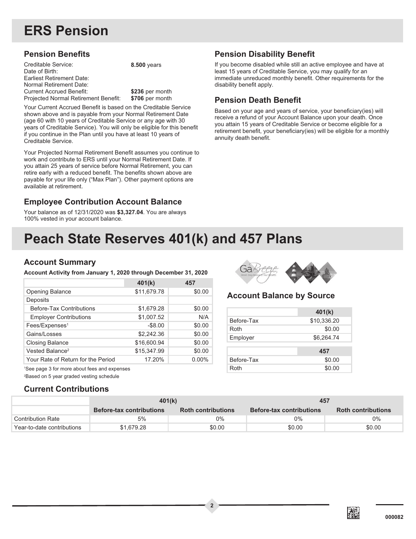# **ERS Pension**

### **Pension Benefits**

Creditable Service: Date of Birth: Earliest Retirement Date: Normal Retirement Date: Current Accrued Benefit: Projected Normal Retirement Benefit: **8.500** years **\$236** per month **\$706** per month

Your Current Accrued Benefit is based on the Creditable Service shown above and is payable from your Normal Retirement Date (age 60 with 10 years of Creditable Service or any age with 30 years of Creditable Service). You will only be eligible for this benefit if you continue in the Plan until you have at least 10 years of Creditable Service.

Your Projected Normal Retirement Benefit assumes you continue to work and contribute to ERS until your Normal Retirement Date. If you attain 25 years of service before Normal Retirement, you can retire early with a reduced benefit. The benefits shown above are payable for your life only ("Max Plan"). Other payment options are available at retirement.

## **Employee Contribution Account Balance**

Your balance as of 12/31/2020 was **\$3,327.04**. You are always 100% vested in your account balance.

## **Pension Disability Benefit**

If you become disabled while still an active employee and have at least 15 years of Creditable Service, you may qualify for an immediate unreduced monthly benefit. Other requirements for the disability benefit apply.

## **Pension Death Benefit**

Based on your age and years of service, your beneficiary(ies) will receive a refund of your Account Balance upon your death. Once you attain 15 years of Creditable Service or become eligible for a retirement benefit, your beneficiary(ies) will be eligible for a monthly annuity death benefit.

# **Peach State Reserves 401(k) and 457 Plans**

### **Account Summary**

**Account Activity from January 1, 2020 through December 31, 2020**

|                                    | 401(k)      | 457      |
|------------------------------------|-------------|----------|
| <b>Opening Balance</b>             | \$11,679.78 | \$0.00   |
| Deposits                           |             |          |
| Before-Tax Contributions           | \$1,679.28  | \$0.00   |
| <b>Employer Contributions</b>      | \$1,007.52  | N/A      |
| Fees/Expenses <sup>1</sup>         | $-$8.00$    | \$0.00   |
| Gains/Losses                       | \$2,242.36  | \$0.00   |
| <b>Closing Balance</b>             | \$16,600.94 | \$0.00   |
| Vested Balance <sup>2</sup>        | \$15,347.99 | \$0.00   |
| Your Rate of Return for the Period | 17.20%      | $0.00\%$ |
|                                    |             |          |

1 See page 3 for more about fees and expenses

2 Based on 5 year graded vesting schedule

## **Current Contributions**



### **Account Balance by Source**

|            | 401(k)      |  |  |
|------------|-------------|--|--|
| Before-Tax | \$10,336.20 |  |  |
| Roth       | \$0.00      |  |  |
| Employer   | \$6,264.74  |  |  |
|            |             |  |  |
|            | 457         |  |  |
|            |             |  |  |
| Before-Tax | \$0.00      |  |  |

|                            | 401(k)                          |                           | 457                             |                           |
|----------------------------|---------------------------------|---------------------------|---------------------------------|---------------------------|
|                            | <b>Before-tax contributions</b> | <b>Roth contributions</b> | <b>Before-tax contributions</b> | <b>Roth contributions</b> |
| <b>Contribution Rate</b>   | 5%                              | 0%                        | 0%                              | $0\%$                     |
| Year-to-date contributions | \$1.679.28                      | \$0.00                    | \$0.00                          | \$0.00                    |

**2**

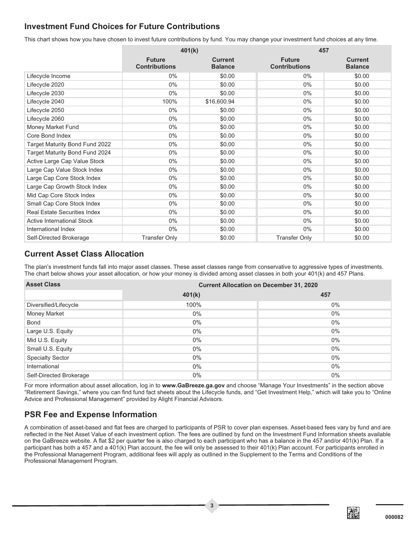### **Investment Fund Choices for Future Contributions**

This chart shows how you have chosen to invest future contributions by fund. You may change your investment fund choices at any time.

|                                     | 401(k)                                |                                  | 457                                   |                                  |
|-------------------------------------|---------------------------------------|----------------------------------|---------------------------------------|----------------------------------|
|                                     | <b>Future</b><br><b>Contributions</b> | <b>Current</b><br><b>Balance</b> | <b>Future</b><br><b>Contributions</b> | <b>Current</b><br><b>Balance</b> |
| Lifecycle Income                    | $0\%$                                 | \$0.00                           | $0\%$                                 | \$0.00                           |
| Lifecycle 2020                      | $0\%$                                 | \$0.00                           | 0%                                    | \$0.00                           |
| Lifecycle 2030                      | $0\%$                                 | \$0.00                           | $0\%$                                 | \$0.00                           |
| Lifecycle 2040                      | 100%                                  | \$16,600.94                      | $0\%$                                 | \$0.00                           |
| Lifecycle 2050                      | $0\%$                                 | \$0.00                           | $0\%$                                 | \$0.00                           |
| Lifecycle 2060                      | $0\%$                                 | \$0.00                           | $0\%$                                 | \$0.00                           |
| Money Market Fund                   | $0\%$                                 | \$0.00                           | $0\%$                                 | \$0.00                           |
| Core Bond Index                     | $0\%$                                 | \$0.00                           | $0\%$                                 | \$0.00                           |
| Target Maturity Bond Fund 2022      | $0\%$                                 | \$0.00                           | $0\%$                                 | \$0.00                           |
| Target Maturity Bond Fund 2024      | $0\%$                                 | \$0.00                           | $0\%$                                 | \$0.00                           |
| Active Large Cap Value Stock        | $0\%$                                 | \$0.00                           | 0%                                    | \$0.00                           |
| Large Cap Value Stock Index         | $0\%$                                 | \$0.00                           | $0\%$                                 | \$0.00                           |
| Large Cap Core Stock Index          | $0\%$                                 | \$0.00                           | $0\%$                                 | \$0.00                           |
| Large Cap Growth Stock Index        | $0\%$                                 | \$0.00                           | $0\%$                                 | \$0.00                           |
| Mid Cap Core Stock Index            | $0\%$                                 | \$0.00                           | $0\%$                                 | \$0.00                           |
| Small Cap Core Stock Index          | 0%                                    | \$0.00                           | $0\%$                                 | \$0.00                           |
| <b>Real Estate Securities Index</b> | $0\%$                                 | \$0.00                           | $0\%$                                 | \$0.00                           |
| <b>Active International Stock</b>   | $0\%$                                 | \$0.00                           | $0\%$                                 | \$0.00                           |
| International Index                 | $0\%$                                 | \$0.00                           | $0\%$                                 | \$0.00                           |
| Self-Directed Brokerage             | <b>Transfer Only</b>                  | \$0.00                           | <b>Transfer Only</b>                  | \$0.00                           |

### **Current Asset Class Allocation**

The plan's investment funds fall into major asset classes. These asset classes range from conservative to aggressive types of investments. The chart below shows your asset allocation, or how your money is divided among asset classes in both your 401(k) and 457 Plans.

| <b>Asset Class</b>      | <b>Current Allocation on December 31, 2020</b> |       |  |  |
|-------------------------|------------------------------------------------|-------|--|--|
|                         | 401(k)                                         | 457   |  |  |
| Diversified/Lifecycle   | 100%                                           | $0\%$ |  |  |
| <b>Money Market</b>     | $0\%$                                          | $0\%$ |  |  |
| <b>Bond</b>             | $0\%$                                          | $0\%$ |  |  |
| Large U.S. Equity       | $0\%$                                          | $0\%$ |  |  |
| Mid U.S. Equity         | $0\%$                                          | $0\%$ |  |  |
| Small U.S. Equity       | $0\%$                                          | $0\%$ |  |  |
| <b>Specialty Sector</b> | $0\%$                                          | $0\%$ |  |  |
| International           | $0\%$                                          | $0\%$ |  |  |
| Self-Directed Brokerage | $0\%$                                          | $0\%$ |  |  |

For more information about asset allocation, log in to **www.GaBreeze.ga.gov** and choose "Manage Your Investments" in the section above "Retirement Savings," where you can find fund fact sheets about the Lifecycle funds, and "Get Investment Help," which will take you to "Online Advice and Professional Management" provided by Alight Financial Advisors.

## **PSR Fee and Expense Information**

A combination of asset-based and flat fees are charged to participants of PSR to cover plan expenses. Asset-based fees vary by fund and are reflected in the Net Asset Value of each investment option. The fees are outlined by fund on the Investment Fund Information sheets available on the GaBreeze website. A flat \$2 per quarter fee is also charged to each participant who has a balance in the 457 and/or 401(k) Plan. If a participant has both a 457 and a 401(k) Plan account, the fee will only be assessed to their 401(k) Plan account. For participants enrolled in the Professional Management Program, additional fees will apply as outlined in the Supplement to the Terms and Conditions of the Professional Management Program.

**3**